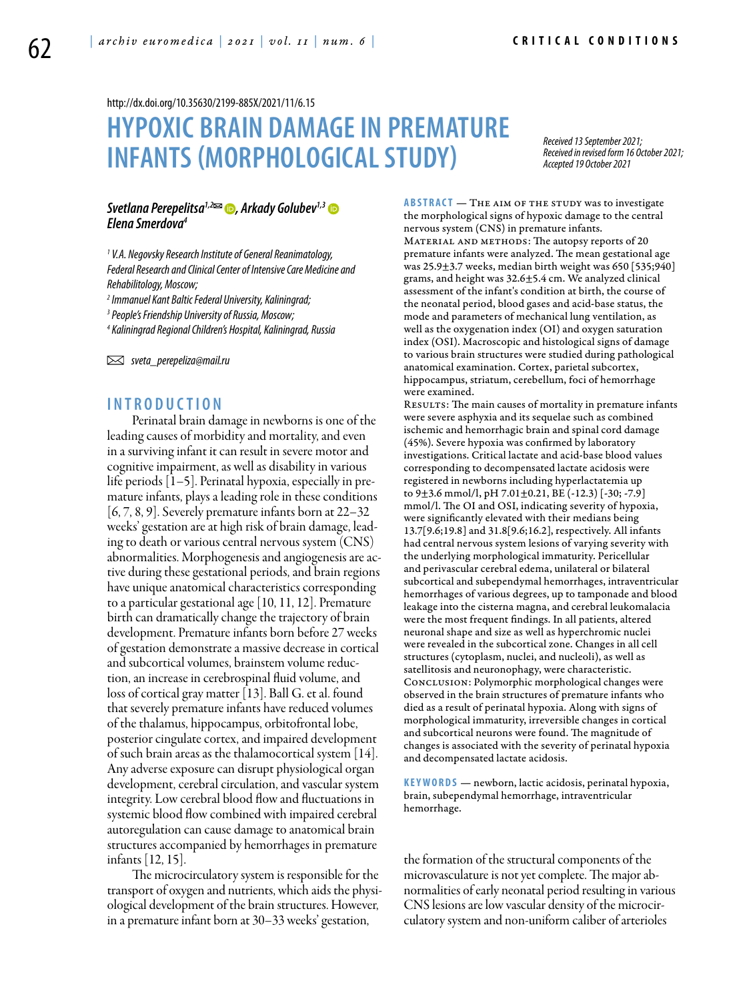<http://dx.doi.org/10.35630/2199-885X/2021/11/6.15>

# **HYPOXIC BRAIN DAMAGEIN PREMATURE INFANTS (MORPHOLOGICALSTUDY)**

*Received 13 September 2021; Received in revised form 16 October 2021; Accepted 19 October 2021*

#### *[Svetlana Perepelitsa](https://orcid.org/0000-0002-4535-9805)1,2 , [Arkady Golubev](https://orcid.org/0000-0002-3165-0378)1,3 Elena Smerdova4*

*1 V.A. Negovsky Research Institute of General Reanimatology, Federal Research and Clinical Center of Intensive Care Medicine and Rehabilitology, Moscow;*

*2 Immanuel Kant Baltic Federal University, Kaliningrad;*

*3 People's Friendship University of Russia, Moscow;*

*4 Kaliningrad Regional Children's Hospital, Kaliningrad, Russia*

 *sveta\_perepeliza@mail.ru*

## **I n t r o d uct i o n**

Perinatal brain damage in newborns is one of the leading causes of morbidity and mortality, and even in a surviving infant it can result in severe motor and cognitive impairment, as well as disability in various life periods [1–5]. Perinatal hypoxia, especially in premature infants, plays a leading role in these conditions [6, 7, 8, 9]. Severely premature infants born at 22–32 weeks' gestation are at high risk of brain damage, leading to death or various central nervous system (CNS) abnormalities. Morphogenesis and angiogenesis are active during these gestational periods, and brain regions have unique anatomical characteristics corresponding to a particular gestational age [10, 11, 12]. Premature birth can dramatically change the trajectory of brain development. Premature infants born before 27 weeks of gestation demonstrate a massive decrease in cortical and subcortical volumes, brainstem volume reduction, an increase in cerebrospinal fluid volume, and loss of cortical gray matter [13]. Ball G. et al. found that severely premature infants have reduced volumes of the thalamus, hippocampus, orbitofrontal lobe, posterior cingulate cortex, and impaired development of such brain areas as the thalamocortical system [14]. Any adverse exposure can disrupt physiological organ development, cerebral circulation, and vascular system integrity. Low cerebral blood flow and fluctuations in systemic blood flow combined with impaired cerebral autoregulation can cause damage to anatomical brain structures accompanied by hemorrhages in premature infants [12, 15].

The microcirculatory system is responsible for the transport of oxygen and nutrients, which aids the physiological development of the brain structures. However, in a premature infant born at 30–33 weeks' gestation,

**ABSTRACT** — THE AIM OF THE STUDY was to investigate the morphological signs of hypoxic damage to the central nervous system (CNS) in premature infants. MATERIAL AND METHODS: The autopsy reports of 20 premature infants were analyzed. The mean gestational age was 25.9±3.7 weeks, median birth weight was 650 [535;940] grams, and height was 32.6±5.4 cm. We analyzed clinical assessment of the infant's condition at birth, the course of the neonatal period, blood gases and acid-base status, the mode and parameters of mechanical lung ventilation, as well as the oxygenation index (OI) and oxygen saturation index (OSI). Macroscopic and histological signs of damage to various brain structures were studied during pathological anatomical examination. Cortex, parietal subcortex, hippocampus, striatum, cerebellum, foci of hemorrhage were examined.

RESULTS: The main causes of mortality in premature infants were severe asphyxia and its sequelae such as combined ischemic and hemorrhagic brain and spinal cord damage (45%). Severe hypoxia was confirmed by laboratory investigations. Critical lactate and acid-base blood values corresponding to decompensated lactate acidosis were registered in newborns including hyperlactatemia up to 9±3.6 mmol/l, pH 7.01±0.21, BE (-12.3) [-30; -7.9] mmol/l. The OI and OSI, indicating severity of hypoxia, were significantly elevated with their medians being 13.7[9.6;19.8] and 31.8[9.6;16.2], respectively. All infants had central nervous system lesions of varying severity with the underlying morphological immaturity. Pericellular and perivascular cerebral edema, unilateral or bilateral subcortical and subependymal hemorrhages, intraventricular hemorrhages of various degrees, up to tamponade and blood leakage into the cisterna magna, and cerebral leukomalacia were the most frequent findings. In all patients, altered neuronal shape and size as well as hyperchromic nuclei were revealed in the subcortical zone. Changes in all cell structures (cytoplasm, nuclei, and nucleoli), as well as satellitosis and neuronophagy, were characteristic. Conclusion: Polymorphic morphological changes were observed in the brain structures of premature infants who died as a result of perinatal hypoxia. Along with signs of morphological immaturity, irreversible changes in cortical and subcortical neurons were found. The magnitude of changes is associated with the severity of perinatal hypoxia and decompensated lactate acidosis.

**KEYWORDS** — newborn, lactic acidosis, perinatal hypoxia, brain, subependymal hemorrhage, intraventricular hemorrhage.

the formation of the structural components of the microvasculature is not yet complete. The major abnormalities of early neonatal period resulting in various CNS lesions are low vascular density of the microcirculatory system and non-uniform caliber of arterioles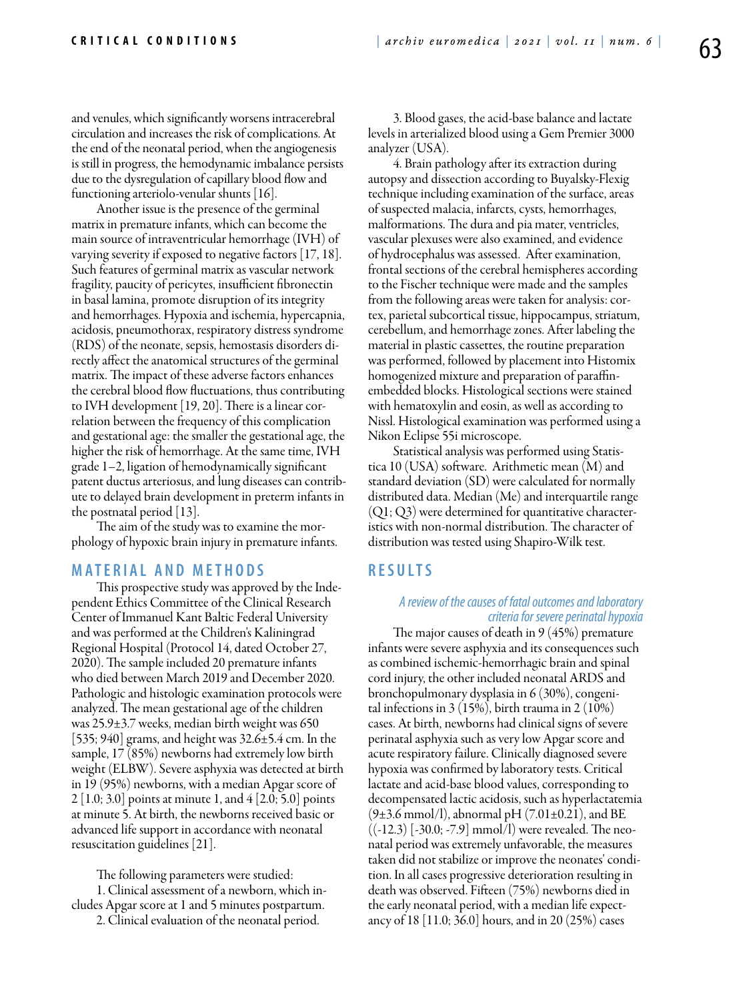and venules, which significantly worsens intracerebral circulation and increases the risk of complications. At the end of the neonatal period, when the angiogenesis is still in progress, the hemodynamic imbalance persists due to the dysregulation of capillary blood flow and functioning arteriolo-venular shunts [16].

Another issue is the presence of the germinal matrix in premature infants, which can become the main source of intraventricular hemorrhage (IVH) of varying severity if exposed to negative factors [17, 18]. Such features of germinal matrix as vascular network fragility, paucity of pericytes, insufficient fibronectin in basal lamina, promote disruption of its integrity and hemorrhages. Hypoxia and ischemia, hypercapnia, acidosis, pneumothorax, respiratory distress syndrome (RDS) of the neonate, sepsis, hemostasis disorders directly affect the anatomical structures of the germinal matrix. The impact of these adverse factors enhances the cerebral blood flow fluctuations, thus contributing to IVH development [19, 20]. There is a linear correlation between the frequency of this complication and gestational age: the smaller the gestational age, the higher the risk of hemorrhage. At the same time, IVH grade 1–2, ligation of hemodynamically significant patent ductus arteriosus, and lung diseases can contribute to delayed brain development in preterm infants in the postnatal period [13].

The aim of the study was to examine the morphology of hypoxic brain injury in premature infants.

#### **M a t e r i a l a n d M e t h o d s**

This prospective study was approved by the Independent Ethics Committee of the Clinical Research Center of Immanuel Kant Baltic Federal University and was performed at the Children's Kaliningrad Regional Hospital (Protocol 14, dated October 27, 2020). The sample included 20 premature infants who died between March 2019 and December 2020. Pathologic and histologic examination protocols were analyzed. The mean gestational age of the children was 25.9±3.7 weeks, median birth weight was 650 [535; 940] grams, and height was 32.6±5.4 cm. In the sample, 17 (85%) newborns had extremely low birth weight (ELBW). Severe asphyxia was detected at birth in 19 (95%) newborns, with a median Apgar score of 2 [1.0; 3.0] points at minute 1, and 4 [2.0; 5.0] points at minute 5. At birth, the newborns received basic or advanced life support in accordance with neonatal resuscitation guidelines [21].

The following parameters were studied:

1. Clinical assessment of a newborn, which includes Apgar score at 1 and 5 minutes postpartum.

2. Clinical evaluation of the neonatal period.

3. Blood gases, the acid-base balance and lactate levels in arterialized blood using a Gem Premier 3000 analyzer (USA).

4. Brain pathology after its extraction during autopsy and dissection according to Buyalsky-Flexig technique including examination of the surface, areas of suspected malacia, infarcts, cysts, hemorrhages, malformations. The dura and pia mater, ventricles, vascular plexuses were also examined, and evidence of hydrocephalus was assessed. After examination, frontal sections of the cerebral hemispheres according to the Fischer technique were made and the samples from the following areas were taken for analysis: cortex, parietal subcortical tissue, hippocampus, striatum, cerebellum, and hemorrhage zones. After labeling the material in plastic cassettes, the routine preparation was performed, followed by placement into Histomix homogenized mixture and preparation of paraffinembedded blocks. Histological sections were stained with hematoxylin and eosin, as well as according to Nissl. Histological examination was performed using a Nikon Eclipse 55i microscope.

Statistical analysis was performed using Statistica 10 (USA) software. Arithmetic mean (M) and standard deviation (SD) were calculated for normally distributed data. Median (Me) and interquartile range  $(Q1; Q3)$  were determined for quantitative characteristics with non-normal distribution. The character of distribution was tested using Shapiro-Wilk test.

# **R e s u l t s**

### *A review of the causes of fatal outcomes and laboratory criteria for severe perinatal hypoxia*

The major causes of death in 9 (45%) premature infants were severe asphyxia and its consequences such as combined ischemic-hemorrhagic brain and spinal cord injury, the other included neonatal ARDS and bronchopulmonary dysplasia in 6 (30%), congenital infections in 3 (15%), birth trauma in 2 (10%) cases. At birth, newborns had clinical signs of severe perinatal asphyxia such as very low Apgar score and acute respiratory failure. Clinically diagnosed severe hypoxia was confirmed by laboratory tests. Critical lactate and acid-base blood values, corresponding to decompensated lactic acidosis, such as hyperlactatemia  $(9±3.6 \text{ mmol/l})$ , abnormal pH  $(7.01±0.21)$ , and BE  $((-12.3)$  [-30.0; -7.9] mmol/l) were revealed. The neonatal period was extremely unfavorable, the measures taken did not stabilize or improve the neonates' condition. In all cases progressive deterioration resulting in death was observed. Fifteen (75%) newborns died in the early neonatal period, with a median life expectancy of 18 [11.0; 36.0] hours, and in 20 (25%) cases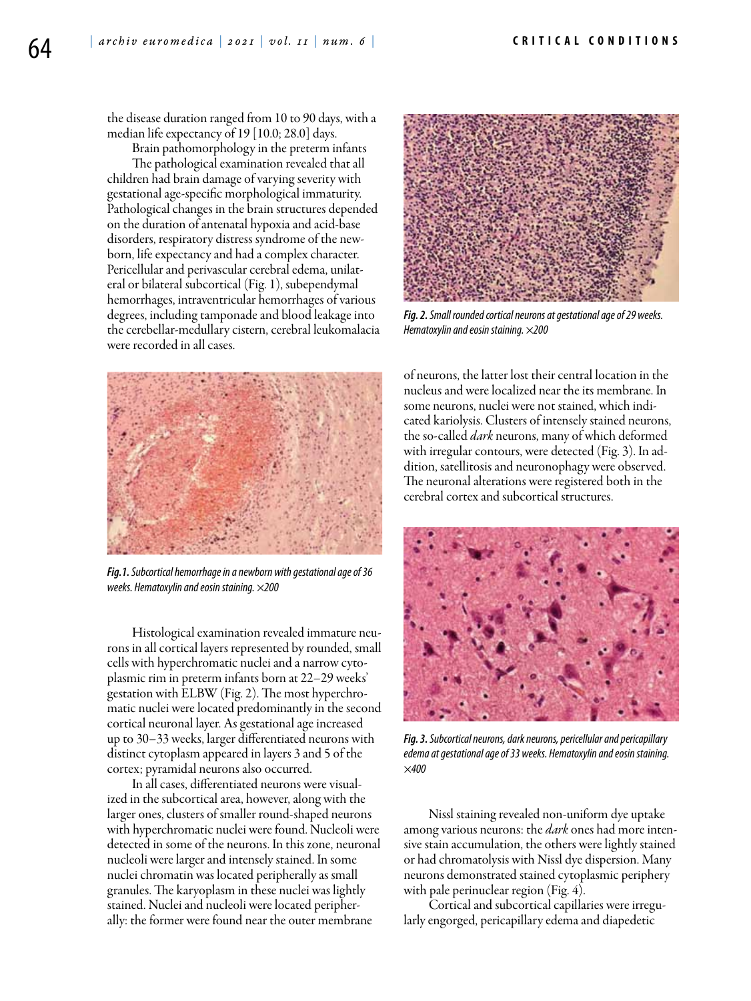the disease duration ranged from 10 to 90 days, with a median life expectancy of 19 [10.0; 28.0] days.

Brain pathomorphology in the preterm infants

The pathological examination revealed that all children had brain damage of varying severity with gestational age-specific morphological immaturity. Pathological changes in the brain structures depended on the duration of antenatal hypoxia and acid-base disorders, respiratory distress syndrome of the newborn, life expectancy and had a complex character. Pericellular and perivascular cerebral edema, unilateral or bilateral subcortical (Fig. 1), subependymal hemorrhages, intraventricular hemorrhages of various degrees, including tamponade and blood leakage into the cerebellar-medullary cistern, cerebral leukomalacia were recorded in all cases.



*Fig.1. Subcortical hemorrhage in a newborn with gestational age of 36 weeks. Hematoxylin and eosin staining. ×200*

Histological examination revealed immature neurons in all cortical layers represented by rounded, small cells with hyperchromatic nuclei and a narrow cytoplasmic rim in preterm infants born at 22–29 weeks' gestation with ELBW (Fig. 2). The most hyperchromatic nuclei were located predominantly in the second cortical neuronal layer. As gestational age increased up to 30–33 weeks, larger differentiated neurons with distinct cytoplasm appeared in layers 3 and 5 of the cortex; pyramidal neurons also occurred.

In all cases, differentiated neurons were visualized in the subcortical area, however, along with the larger ones, clusters of smaller round-shaped neurons with hyperchromatic nuclei were found. Nucleoli were detected in some of the neurons. In this zone, neuronal nucleoli were larger and intensely stained. In some nuclei chromatin was located peripherally as small granules. The karyoplasm in these nuclei was lightly stained. Nuclei and nucleoli were located peripherally: the former were found near the outer membrane



*Fig. 2. Small rounded cortical neurons at gestational age of 29 weeks. Hematoxylin and eosin staining. ×200*

of neurons, the latter lost their central location in the nucleus and were localized near the its membrane. In some neurons, nuclei were not stained, which indicated kariolysis. Clusters of intensely stained neurons, the so-called *dark* neurons, many of which deformed with irregular contours, were detected (Fig. 3). In addition, satellitosis and neuronophagy were observed. The neuronal alterations were registered both in the cerebral cortex and subcortical structures.



*Fig. 3. Subcortical neurons, dark neurons, pericellular and pericapillary edema at gestational age of 33 weeks. Hematoxylin and eosin staining. ×400*

Nissl staining revealed non-uniform dye uptake among various neurons: the *dark* ones had more intensive stain accumulation, the others were lightly stained or had chromatolysis with Nissl dye dispersion. Many neurons demonstrated stained cytoplasmic periphery with pale perinuclear region (Fig. 4).

Cortical and subcortical capillaries were irregularly engorged, pericapillary edema and diapedetic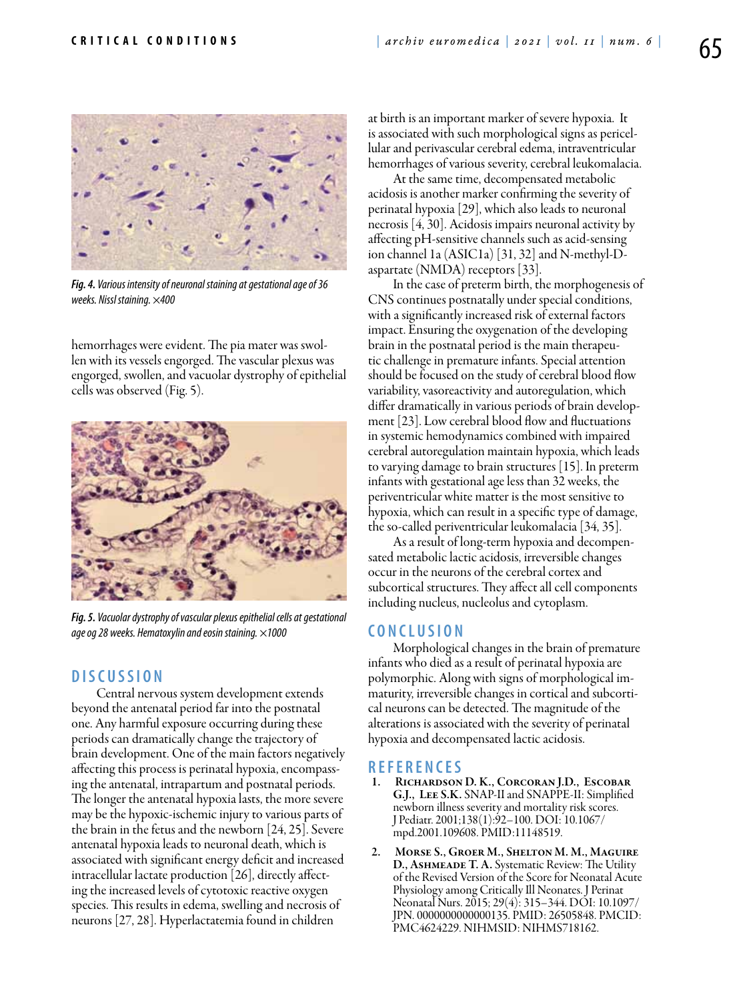

*Fig. 4. Various intensity of neuronal staining at gestational age of 36 weeks. Nissl staining. ×400*

hemorrhages were evident. The pia mater was swollen with its vessels engorged. The vascular plexus was engorged, swollen, and vacuolar dystrophy of epithelial cells was observed (Fig. 5).



*Fig. 5. Vacuolar dystrophy of vascular plexus epithelial cells at gestational age og 28 weeks. Hematoxylin and eosin staining. ×1000*

# **D i scu s s i o n**

Central nervous system development extends beyond the antenatal period far into the postnatal one. Any harmful exposure occurring during these periods can dramatically change the trajectory of brain development. One of the main factors negatively affecting this process is perinatal hypoxia, encompassing the antenatal, intrapartum and postnatal periods. The longer the antenatal hypoxia lasts, the more severe may be the hypoxic-ischemic injury to various parts of the brain in the fetus and the newborn [24, 25]. Severe antenatal hypoxia leads to neuronal death, which is associated with significant energy deficit and increased intracellular lactate production [26], directly affecting the increased levels of cytotoxic reactive oxygen species. This results in edema, swelling and necrosis of neurons [27, 28]. Hyperlactatemia found in children

at birth is an important marker of severe hypoxia. It is associated with such morphological signs as pericellular and perivascular cerebral edema, intraventricular hemorrhages of various severity, cerebral leukomalacia.

At the same time, decompensated metabolic acidosis is another marker confirming the severity of perinatal hypoxia [29], which also leads to neuronal necrosis [4, 30]. Acidosis impairs neuronal activity by affecting pH-sensitive channels such as acid-sensing ion channel 1a (ASIC1a) [31, 32] and N-methyl-Daspartate (NMDA) receptors [33].

In the case of preterm birth, the morphogenesis of CNS continues postnatally under special conditions, with a significantly increased risk of external factors impact. Ensuring the oxygenation of the developing brain in the postnatal period is the main therapeutic challenge in premature infants. Special attention should be focused on the study of cerebral blood flow variability, vasoreactivity and autoregulation, which differ dramatically in various periods of brain development [23]. Low cerebral blood flow and fluctuations in systemic hemodynamics combined with impaired cerebral autoregulation maintain hypoxia, which leads to varying damage to brain structures [15]. In preterm infants with gestational age less than 32 weeks, the periventricular white matter is the most sensitive to hypoxia, which can result in a specific type of damage, the so-called periventricular leukomalacia [34, 35].

As a result of long-term hypoxia and decompensated metabolic lactic acidosis, irreversible changes occur in the neurons of the cerebral cortex and subcortical structures. They affect all cell components including nucleus, nucleolus and cytoplasm.

### **C o n cl u s i o n**

Morphological changes in the brain of premature infants who died as a result of perinatal hypoxia are polymorphic. Along with signs of morphological immaturity, irreversible changes in cortical and subcortical neurons can be detected. The magnitude of the alterations is associated with the severity of perinatal hypoxia and decompensated lactic acidosis.

# **R efe r e n ce s**

- RICHARDSON D. K., CORCORAN J.D., ESCOBAR G.J., Lee S.K. SNAP-II and SNAPPE-II: Simplified newborn illness severity and mortality risk scores. J Pediatr. 2001;138(1):92–100. DOI: 10.1067/ mpd.2001.109608. PMID:11148519.
- 2. Morse S., Groer M., Shelton M. M., Maguire D., Ashmeade T. A. Systematic Review: The Utility of the Revised Version of the Score for Neonatal Acute Physiology among Critically Ill Neonates. J Perinat Neonatal Nurs. 2015; 29(4): 315–344. DOI: 10.1097/ JPN. 0000000000000135. PMID: 26505848. PMCID: PMC4624229. NIHMSID: NIHMS718162.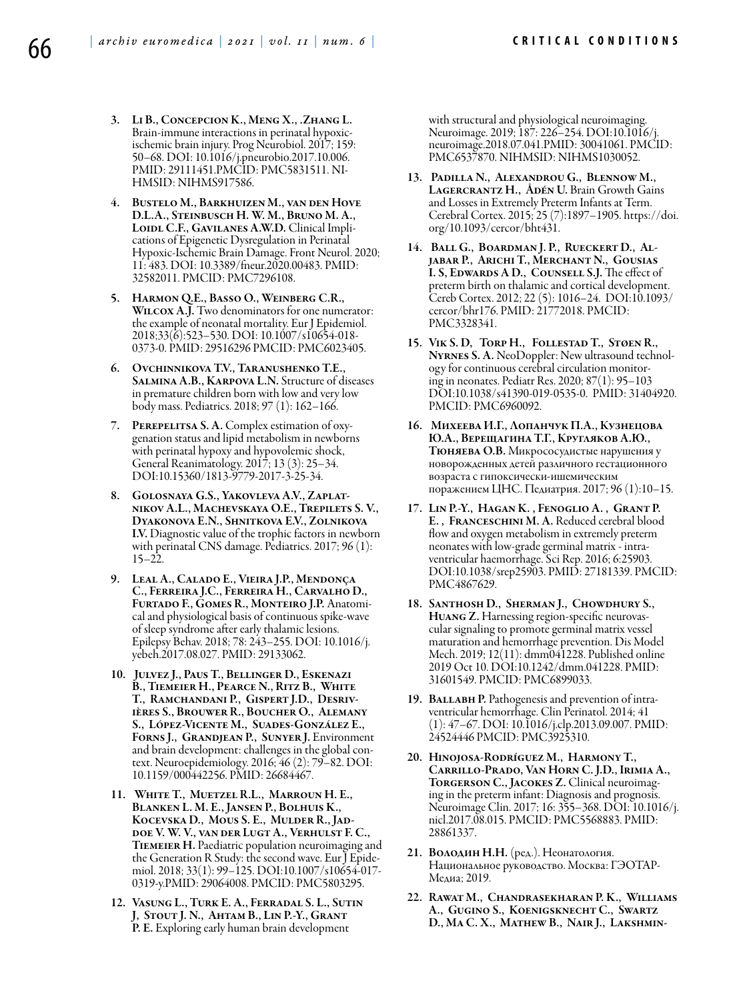- 3. Li B., Concepcion K., Meng X., .Zhang L. Brain-immune interactions in perinatal hypoxicischemic brain injury. Prog Neurobiol. 2017; 159: 50–68. DOI: 10.1016/j.pneurobio.2017.10.006. PMID: 29111451.PMCID: PMC5831511. NI-HMSID: NIHMS917586.
- 4. Bustelo M., Barkhuizen M., van den Hove D.L.A., Steinbusch H. W. M., Bruno M. A., LOIDL C.F., GAVILANES A.W.D. Clinical Implications of Epigenetic Dysregulation in Perinatal Hypoxic-Ischemic Brain Damage. Front Neurol. 2020; 11: 483. DOI: 10.3389/fneur.2020.00483. PMID: 32582011. PMCID: PMC7296108.
- 5. Harmon Q.E., Basso O., Weinberg C.R., WILCOX A.J. Two denominators for one numerator: the example of neonatal mortality. Eur J Epidemiol. 2018;33(6):523–530. DOI: 10.1007/s10654-018- 0373-0. PMID: 29516296 PMCID: PMC6023405.
- 6. Ovchinnikova T.V., Taranushenko T.E., Salmina A.B., Karpova L.N. Structure of diseases in premature children born with low and very low body mass. Pediatrics. 2018; 97 (1): 162–166.
- 7. PEREPELITSA S. A. Complex estimation of oxy-<br>genation status and lipid metabolism in newborns with perinatal hypoxy and hypovolemic shock, General Reanimatology. 2017; 13 (3): 25–34. DOI:10.15360/1813-9779-2017-3-25-34.
- 8. Golosnaya G.S., Yakovleva A.V., Zaplat- nikov A.L., Machevskaya O.Е., Trepilets S. V., Dyakonova E.N., Shnitkova E.V., Zolnikova I.V. Diagnostic value of the trophic factors in newborn with perinatal CNS damage. Pediatrics. 2017; 96 (1):  $15 - 22$ .
- 9. Leal A., Calado E., Vieira J.P., Mendonça C., Ferreira J.C., Ferreira H., Carvalho D., Furtado F., Gomes R., Monteiro J.P. Anatomical and physiological basis of continuous spike-wave of sleep syndrome after early thalamic lesions. Epilepsy Behav. 2018; 78: 243–255. DOI: 10.1016/j. yebeh.2017.08.027. PMID: 29133062.
- 10. Julvez J., Paus T., Bellinger D., Eskenazi B., Tiemeier H., Pearce N., Ritz B., White T., Ramchandani P., Gispert J.D., Desriv- ières S., Brouwer R., Boucher O., Alemany S., López-Vicente M., Suades-González E., Forns J., Grandjean P., Sunyer J. Environment and brain development: challenges in the global context. Neuroepidemiology. 2016; 46 (2): 79–82. DOI: 10.1159/000442256. PMID: 26684467.
- 11. White T., Muetzel R.L., Marroun H. E., Blanken L. M. E., Jansen P., Bolhuis K., Kocevska D., Mous S. E., Mulder R., Jad- doe V. W. V., van der Lugt A., Verhulst F. C., Tiemeier H. Paediatric population neuroimaging and the Generation R Study: the second wave. Eur J Epide- miol. 2018; 33(1): 99–125. DOI:10.1007/s10654-017- 0319-y.PMID: 29064008. PMCID: PMC5803295.
- 12. Vasung L., Turk E. A., Ferradal S. L., Sutin J, Stout J. N., Ahtam B., Lin P.-Y., Grant P. E. Exploring early human brain development

with structural and physiological neuroimaging. Neuroimage. 2019; 187: 226–254. DOI:10.1016/j. neuroimage.2018.07.041.PMID: 30041061. PMCID: PMC6537870. NIHMSID: NIHMS1030052.

- 13. Padilla N., Alexandrou G., Blennow M., LAGERCRANTZ H., ÅDÉN U. Brain Growth Gains and Losses in Extremely Preterm Infants at Term. Cerebral Cortex. 2015; 25 (7):1897–1905. https://doi. org/10.1093/cercor/bht431.
- 14. Ball G., Boardman J. P., Rueckert D., Al- jabar P., Arichi T., Merchant N., Gousias I. S, Edwards A D., Counsell S.J. The effect of preterm birth on thalamic and cortical development. Cereb Cortex. 2012; 22 (5): 1016–24. DOI:10.1093/ cercor/bhr176. PMID: 21772018. PMCID: PMC3328341.
- 15. Vik S. D, Torp H., Follestad T., Støen R., Nyrnes S. A. NeoDoppler: New ultrasound technology for continuous cerebral circulation monitoring in neonates. Pediatr Res. 2020; 87(1): 95–103 DOI:10.1038/s41390-019-0535-0. PMID: 31404920. PMCID: PMC6960092.
- 16. Михеева И.Г., Лопанчук П.А., Кузнецова Ю.А., Верещагина Т.Г., Кругляков А.Ю., Тюняева О.В. Микрососудистые нарушения у новорожденных детей различного гестационного возраста с гипоксически-ишемическим поражением ЦНС. Педиатрия. 2017; 96 (1):10–15.
- 17. Lin P.-Y., Hagan K. , Fenoglio A. , Grant P. E. , Franceschini M. A. Reduced cerebral blood flow and oxygen metabolism in extremely preterm neonates with low-grade germinal matrix - intraventricular haemorrhage. Sci Rep. 2016; 6:25903. DOI:10.1038/srep25903. PMID: 27181339. PMCID: PMC4867629.
- 18. Santhosh D., Sherman J., Chowdhury S., HUANG Z. Harnessing region-specific neurovascular signaling to promote germinal matrix vessel maturation and hemorrhage prevention. Dis Model Mech. 2019; 12(11): dmm041228. Published online 2019 Oct 10. DOI:10.1242/dmm.041228. PMID: 31601549. PMCID: PMC6899033.
- 19. BALLABH P. Pathogenesis and prevention of intraventricular hemorrhage. Clin Perinatol. 2014; 41 (1): 47–67. DOI: 10.1016/j.clp.2013.09.007. PMID: 24524446 PMCID: PMC3925310.
- 20. Hinojosa-Rodríguez M., Harmony T., Carrillo-Prado, Van Horn C. J.D., Irimia A., TORGERSON C., JACOKES Z. Clinical neuroimaging in the preterm infant: Diagnosis and prognosis. Neuroimage Clin. 2017; 16: 355–368. DOI: 10.1016/j. nicl.2017.08.015. PMCID: PMC5568883. PMID: 28861337.
- 21. Володин Н.Н. (ред.). Неонатология. Национальное руководство. Москва: ГЭОТАР-Медиа; 2019.
- 22. Rawat M., Chandrasekharan P. K., Williams A., Gugino S., Koenigsknecht C., Swartz D., Ma C. X., Mathew B., Nair J., Lakshmin-